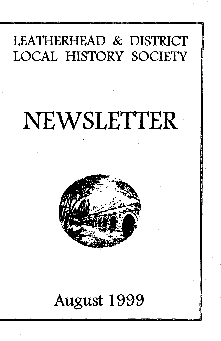## **LEATHERHEAD & DISTRICT LOCAL HISTORY SOCIETY**

. In in 1 , and 1 , and 1 , and 1 , and 1 , and 1 , and 1 , and 1 , and 1 , and 1 , and 1 , and 1 , and 1 , and 1 , and 1 , and 1 , and 1 , and 1 , and 1 , and 1 , and 1 , and 1 , and 1 , and 1 , and 1 , and 1 , and 1 , an

# **NEWSLETTER**



## **August 1999**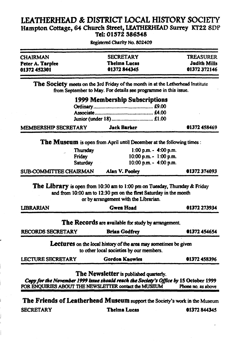#### **LEATHERHEAD** *&* **DISTRICT LOCAL HISTORY SOCIETY Hampton Cottage, 64 Church Street, LEATHERHEAD Surrey KT22 8DP Tel: 01S72 386348**

| <b>CHAIRMAN</b>  | <b>SECRETARY</b>    | <b>TREASURER</b>    |
|------------------|---------------------|---------------------|
| Peter A. Tarplee | <b>Thelma Lucas</b> | <b>Judith Mills</b> |
| 01372452301      | 01372844345         | 01372372146         |

**Registered Charity No. 802409**

**The Society meets on the 3rd Friday of the month in at die Letherhead Institute from September to May. For details see programme in this issue.**

|                                                                       | <b>1999 Membership Subscriptions</b> |                   |
|-----------------------------------------------------------------------|--------------------------------------|-------------------|
|                                                                       |                                      |                   |
|                                                                       |                                      |                   |
|                                                                       |                                      |                   |
| MEMBERSHIP SECRETARY                                                  | <b>Jack Barker</b>                   | 01372 458469      |
| The Museum is open from April until December at the following times : |                                      |                   |
| <b>The complete of the Complete Street</b>                            |                                      | $1.00 - 1.00 - m$ |

| SUB-COMMITTEE CHAIRMAN | Alan V. Pooley             | 01372374093 |
|------------------------|----------------------------|-------------|
| Saturday               | $10:00$ p.m. $-$ 4:00 p.m. |             |
| Friday                 | $10:00$ p.m. $-1:00$ p.m.  |             |
| Thursday               | $1:00$ p.m. $-$ 4:00 p.m.  |             |

**The Library is open from 10:30 am to 1:00 pm on Tuesday, Thursday** *&* **Friday and from 10:00 am to 12:30 pm on the first Saturday in the month or by arrangement with the Librarian.**

| LIBRARIAN                | <b>Gwen</b> Hoad                                                                                                                               | 01372 273934       |
|--------------------------|------------------------------------------------------------------------------------------------------------------------------------------------|--------------------|
|                          | The Records are available for study by arrangement.                                                                                            |                    |
| <b>RECORDS SECRETARY</b> | <b>Brian Godfrey</b>                                                                                                                           | 01372 454654       |
|                          | <b>Lectures</b> on the local history of the area may sometimes be given<br>to other local societies by our members.                            |                    |
| <b>LECTURE SECRETARY</b> | <b>Gordon Knowles</b>                                                                                                                          | 01372458396        |
|                          | The Newsletter is published quarterly.                                                                                                         |                    |
|                          | Copy for the November 1999 issue should reach the Society's Office by 15 October 1999<br>FOR ENQUIRIES ABOUT THE NEWSLETTER contact the MUSEUM | Phone no. as above |

The Friends of Leatherhead Museum support the Society's work in the Museum

**SECRETARY Thelma Lucas 01372 844345**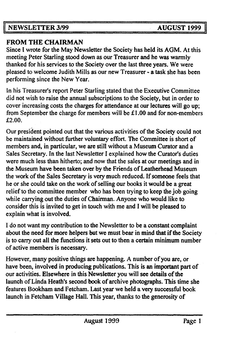NEWSLETTER 3/99 AUGUST 1999

#### FROM THE CHAIRMAN

Since I wrote for the May Newsletter the Society has held its AGM. At this meeting Peter Starling stood down as our Treasurer and he was warmly thanked for his services to the Society over the last three years. We were pleased to welcome Judith Mills as our new Treasurer - a task she has been performing since the New Year.

In his Treasurer's report Peter Starling stated that the Executive Committee did not wish to raise the annual subscriptions to the Society, but in order to cover increasing costs the charges for attendance at our lectures will go up; from September the charge for members will be £1.00 and for non-members **£2.00.**

Our president pointed out that the various activities of the Society could not be maintained without further voluntary effort. The Committee is short of members and, in particular, we are still without a Museum Curator and a Sales Secretary. In the last Newsletter I explained how the Curator's duties were much less than hitherto; and now that the sales at our meetings and in the Museum have been taken over by the Friends of Leatherhead Museum the work of the Sales Secretary is very much reduced. If someone feels that he or she could take on the work of selling our books it would be a great relief to the committee member who has been trying to keep the job going while carrying out the duties of Chairman. Anyone who would like to consider this is invited to get in touch with me and I will be pleased to explain what is involved.

I do not want my contribution to the Newsletter to be a constant complaint about the need for more helpers but we must bear in mind that if the Society is to cany out all the functions it sets out to then a certain minimum number of active members is necessary.

However, many positive things are happening. A number of you are, or have been, involved in producing publications. This is an important part of our activities. Elsewhere in this Newsletter you will see details of the launch of Linda Heath's second book of archive photographs. This time she features Bookham and Fetcham. Last year we held a very successful book launch in Fetcham Village Hall. This year, thanks to the generosity of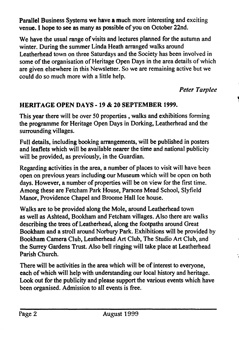Parallel Business Systems we have a much more interesting and exciting venue. I hope to see as many as possible of you on October 22nd.

We have the usual range of visits and lectures planned for the autumn and winter. During the summer Linda Heath arranged walks around Leatherhead town on three Saturdays and the Society has been involved in some of the organisation of Heritage Open Days in the area details of which are given elsewhere in this Newsletter. So we are remaining active but we could do so much more with a little help.

*Peter Tarplee*

#### HERITAGE OPEN DAYS - 19 *&* 20 SEPTEMBER 1999.

This year there will be over 50 properties , walks and exhibitions forming the programme for Heritage Open Days in Dorking, Leatherhead and the surrounding villages.

Full details, including booking arrangements, will be published in posters and leaflets which will be available nearer the time and national publicity will be provided, as previously, in the Guardian.

Regarding activities in the area, a number of places to visit will have been open on previous years including our Museum which will be open on both days. However, a number of properties will be on view for the first time. Among these are Fetcham Park House, Parsons Mead School, Slyfield Manor, Providence Chapel and Broome Hall Ice house.

Walks are to be provided along the Mole, around Leatherhead town as well as Ashtead, Bookham and Fetcham villages. Also there are walks describing the trees of Leatherhead, along the footpaths around Great Bookham and a stroll around Norbury Park. Exhibitions will be provided by Bookham Camera Club, Leatherhead Art Club, The Studio Art Club, and the Surrey Gardens Trust. Also bell ringing will take place at Leatherhead Parish Church.

There will be activities in the area which will be of interest to everyone, each of which will help with understanding our local history and heritage. Look out for the publicity and please support the various events which have been organised. Admission to all events is free.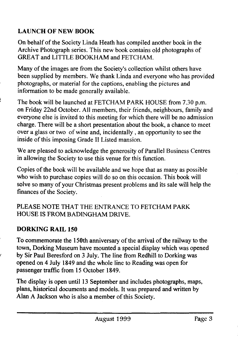### LAUNCH OF NEW BOOK

**On behalf of the Society Linda Heath has compiled another book in the Archive Photograph series. This new book contains old photographs of GREAT and LITTLE BOOKHAM and FETCHAM.**

**Many of the images are from the Society's collection whilst others have been supplied by members. We thank Linda and everyone who has provided photographs, or material for the captions, enabling the pictures and information to be made generally available.**

**The book will be launched at FETCHAM PARK HOUSE from 7.30 p.m. on Friday 22nd October. All members, their friends, neighbours, family and everyone else is invited to this meeting for which there will be no admission charge. There will be a short presentation about the book, a chance to meet over a glass or two of wine and, incidentally , an opportunity to see the inside of this imposing Grade II Listed mansion.**

**We are pleased to acknowledge the generosity of Parallel Business Centres in allowing the Society to use this venue for this function.**

**Copies of the book will be available and we hope that as many as possible who wish to purchase copies will do so on this occasion. This book will solve so many of your Christmas present problems and its sale will help the finances of the Society.**

**PLEASE NOTE THAT THE ENTRANCE TO FETCHAM PARK HOUSE IS FROM BADINGHAM DRIVE.**

#### DORKING RAIL 150

**To commemorate the 150th anniversary of the arrival of the railway to the town, Dorking Museum have mounted a special display which was opened by Sir Paul Beresford on 3 July. The line from Redhill to Dorking was opened on 4 July 1849 and the whole line to Reading was open for passenger traffic from 15 October 1849.**

**The display is open until 13 September and includes photographs, maps, plans, historical documents and models. It was prepared and written by Alan A Jackson who is also a member of this Society.**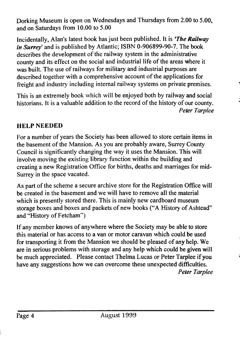**Dorking Museum is open on Wednesdays and Thursdays from 2.00 to 5.00, and on Saturdays from 10.00 to 5.00**

**Incidentally, Alan's latest book has just been published. It is** *'The Railway in Surrey'* **and is published by Atlantic; ISBN 0-906899-90-7. The book describes the development of the railway system in the administrative county and its effect on the social and industrial life of the areas where it was built. The use of railways for military and industrial purposes are described together with a comprehensive account of the applications for freight and industry including internal railway systems on private premises.**

**This is an extremely book which will be enjoyed both by railway and social historians. It is a valuable addition to the record of the history of our county.** *Peter Tarplee*

#### HELP NEEDED

**For a number of years the Society has been allowed to store certain items in the basement of the Mansion. As you are probably aware, Surrey County Council is significantly changing the way it uses the Mansion. This will involve moving the existing library function within the building and creating a new Registration Office for births, deaths and marriages for mid-Surrey in the space vacated.**

**As part of the scheme a secure archive store for the Registration Office will be created in the basement and we will have to remove all the material which is presently stored there. This is mainly new cardboard museum storage boxes and boxes and packets of new books ("A History of Ashtead" and "History of Fetcham")**

**If any member knows of anywhere where the Society may be able to store this material or has access to a van or motor caravan which could be used for transporting it from the Mansion we should be pleased of any help. We are in serious problems with storage and any help which could be given will be much appreciated. Please contact Thelma Lucas or Peter Tarplee if you have any suggestions how we can overcome these unexpected difficulties.** *Peter Tarplee*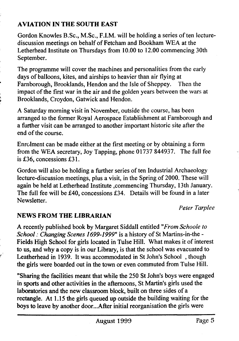#### AVIATION IN THE SOUTH EAST

Gordon Knowles B.Sc., M.Sc., F.I.M. will be holding a series of ten lecturediscussion meetings on behalf of Fetcham and Bookham WEA at the Letherhead Institute on Thursdays from 10.00 to 12.00 commencing 30th September.

The programme will cover the machines and personalities from the early days of balloons, kites, and airships to heavier than air flying at Farnborough, Brooklands, Hendon and the Isle of Sheppey. Then the impact of the first war in the air and the golden years between the wars at Brooklands, Croydon, Gatwick and Hendon.

A Saturday morning visit in November, outside the course, has been arranged to the former Royal Aerospace Establishment at Farnborough and a further visit can be arranged to another important historic site after the end of the course.

Enrolment can be made either at the first meeting or by obtaining a form from the WEA secretary, Joy Tapping, phone 01737 844937. The full fee is £36, concessions £31.

Gordon will also be holding a further series of ten Industrial Archaeology lecture-discussion meetings, plus a visit, in the Spring of 2000. These will again be held at Letherhead Institute commencing Thursday, 13th January. The full fee will be £40, concessions £34. Details will be found in a later Newsletter.

*Peter Tarplee*

#### NEWS FROM THE LIBRARIAN

A recently published book by Margaret Siddall entitled *"From Schoole to School: Changing Scenes 1699-1999"* is a history of St Martins-in-the - Fields High School for girls located in Tulse Hill. What makes it of interest to us, and why a copy is in our Library, is that the school was evacuated to Leatherhead in 1939. It was accommodated in St John's School , though the girls were boarded out in the town or even commuted from Tulse Hill.

"Sharing the facilities meant that while the 250 St John's boys were engaged in sports and other activities in the afternoons, St Martin's girls used the laboratories and the new classroom block, built on three sides of a rectangle. At 1.15 the girls queued up outside the building waiting for the boys to leave by another door...After initial reorganisation the girls were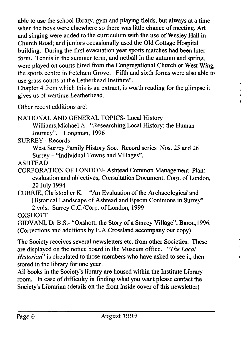**able to use the school library, gym and playing fields, but always at a time when the boys were elsewhere so there was little chance of meeting. Art and singing were added to the curriculum with the use of Wesley Hall in Church Road; and juniors occasionally used the Old Cottage Hospital building. During the first evacuation year sports matches had been interform. Tennis in the summer term, and netball in the autumn and spring, were played on courts hired from the Congregational Church or West Wing, the sports centre in Fetcham Grove. Fifth and sixth forms were also able to use grass courts at the Letherhead Institute".**

**Chapter 4 from which this is an extract, is worth reading for the glimpse it gives us of wartime Leatherhead.**

**Other recent additions are:**

NATIONAL AND GENERAL TOPICS- Local History

**Williams,Michael A. "Researching Local History: the Human Journey". Longman, 1996**

**SURREY - Records**

West Surrey Family History Soc. Record series Nos. 25 and 26 **Surrey - "Individual Towns and Villages".**

**ASHTEAD**

**CORPORATION OF LONDON- Ashtead Common Management Plan: evaluation and objectives, Consultation Document. Corp. of London, 20 July 1994**

**CURRIE, Christopher K. - "An Evaluation of the Archaeological and Historical Landscape of Ashtead and Epsom Conimons in Surrey". 2 vols. Surrey C.C./Corp. of London, 1999**

**OXSHOTT**

**GIDVANI, Dr B.S.- "Oxshott: the Story of a Surrey Village". Baron,1996. (Corrections and additions by E.A.Crossland accompany our copy)**

**The Society receives several newsletters etc. from other Societies. These are displayed on the notice board in the Museum office.** *"The Local Historian***" is circulated to those members who have asked to see it, then stored in the library for one year.**

**All books in the Society's library are housed within the Institute Library room. In case of difficulty in finding what you want please contact the Society's Librarian (details on the front inside cover of this newsletter)**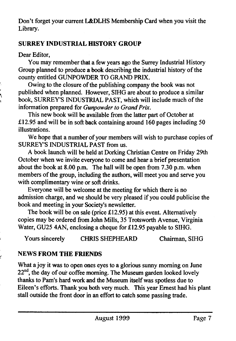Don't forget your current L&DLHS Membership Card when you visit the Library.

#### SURREY INDUSTRIAL HISTORY GROUP

Dear Editor,

You may remember that a few years ago the Surrey Industrial History Group planned to produce a book describing the industrial history of the county entitled GUNPOWDER TO GRAND PRIX.

Owing to the closure of the publishing company the book was not published when planned. However, SIHG are about to produce a similar book, SURREY'S INDUSTRIAL PAST, which will include much of the information prepared for *Gunpowder to Grand Prix.*

This new book will be available from the latter part of October at £12.95 and will be in soft back containing around  $160$  pages including 50 illustrations.

We hope that a number of your members will wish to purchase copies of SURREY'S INDUSTRIAL PAST from us.

A book launch will be held at Dorking Christian Centre on Friday 29th October when we invite everyone to come and hear a brief presentation about the book at 8.00 p.m. The hall will be open from 7.30 p.m. when members of the group, including the authors, will meet you and serve you with complimentary wine or soft drinks.

Everyone will be welcome at the meeting for which there is no admission charge, and we should be very pleased if you could publicise the book and meeting in your Society's newsletter.

The book will be on sale (price £12.95) at this event. Alternatively copies may be ordered from John Mills, 35 Trotsworth Avenue, Virginia Water, GU25 4AN, enclosing a cheque for £12.95 payable to SIHG.

Yours sincerely CHRIS SHEPHEARD Chairman, SIHG

#### NEWS FROM THE FRIENDS

What a joy it was to open ones eyes to a glorious sunny morning on June 22<sup>nd</sup>, the day of our coffee morning. The Museum garden looked lovely thanks to Pam's hard work and the Museum itself was spotless due to Eileen's efforts. Thank you both very much. This year Ernest had his plant stall outside the front door in an effort to catch some passing trade.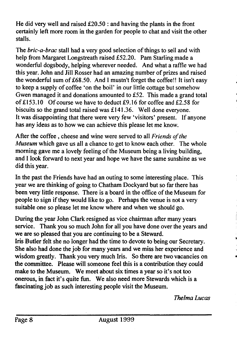He did very well and raised  $£20.50$ : and having the plants in the front certainly left more room in the garden for people to chat and visit the other stalls.

The *bric-a-brac* stall had a very good selection of things to sell and with help from Margaret Longstreath raised £52.20. Pam Starling made a wonderful dogsbody, helping wherever needed. And what a raffle we had this year. John and Jill Rosser had an amazing number of prizes and raised the wonderful sum of £68.50. And 1 mustn't forget the coffee!! It isn't easy to keep a supply of coffee 'on the boil' in our little cottage but somehow Gwen managed it and donations amounted to £52. This made a grand total of  $£153.10$  Of course we have to deduct  $£9.16$  for coffee and £2.58 for biscuits so the grand total raised was £141.36. Well done everyone. It was disappointing that there were very few 'visitors' present. If anyone has any ideas as to how we can achieve this please let me know.

After the coffee , cheese and wine were served to all *Friends of the Museum* which gave us all a chance to get to know each other. The whole morning gave me a lovely feeling of the Museum being a living building, and I look forward to next year and hope we have the same sunshine as we did this year.

In the past the Friends have had an outing to some interesting place. This year we are thinking of going to Chatham Dockyard but so far there has been very little response. There is a board in the office of the Museum for people to sign if they would like to go. Perhaps the venue is not a very suitable one so please let me know where and when we should go.

During the year John Clark resigned as vice chairman after many years service. Thank you so much John for all you have done over the years and we are so pleased that you are continuing to be a Steward.

Iris Butler felt she no longer had the time to devote to being our Secretary. She also had done the job for many years and we miss her experience and wisdom greatly. Thank you very much Iris. So there are two vacancies on the committee. Please will someone feel this is a contribution they could make to the Museum. We meet about six times a year so it's not too onerous, in fact it's quite fun. We also need more Stewards which is a fascinating job as such interesting people visit the Museum.

*Thelma Lucas*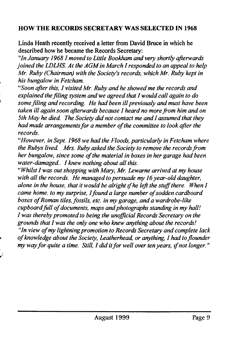#### HOW THE RECORDS SECRETARY WAS SELECTED IN 1968

Linda Heath recently received a letter from David Bruce in which he described how he became the Records Secretary:

*"In January 1968I moved to Little Bookham and very shortly afterwards joined the LDLHS. At the AGM in March I responded to an appeal to help Mr. Ruby (Chairman) with the Society's records, which Mr. Ruby kept in his bungalow in Fetcham.*

*"Soon after this, I visited Mr. Ruby and he showed me the records and explained the filing system and we agreed that I would call again to do some filing and recording. He had been ill previously and must have been taken ill again soon afterwards because I heard no more from him and on 5th May he died. The Society did not contact me and I assumed that they had made arrangements for a member of the committee to look after the records.*

"*However, in Sept. 1968 we had the Floods, particularly in Fetcham where the Rubys lived. Mrs. Ruby asked the Society to remove the records from her bungalow, since some of the material in boxes in her garage had been water-damaged.. I knew nothing about all this.*

*"Whilst I was out shopping with Mary, Mr. Lewarne arrived at my house with all the records. He managed to persuade my 16 year-old daughter, alone in the house, that it would be alright if he left the stuff there. When I came home, to my surprise, I found a large number of sodden cardboard boxes of Roman tiles, fossils, etc. in my garage, and a wardrobe-like cupboard full of documents, maps and photographs standing in my hall! I was thereby promoted to being the unofficial Records Secretary on the grounds that I was the only one who knew anything about the records! "In view of my lightning promotion to Records Secretary and complete lack of knowledge about the Society, Leatherhead, or anything, I had to flounder*

*my way for quite a time. Still, I did it for well over ten years, if not longer*."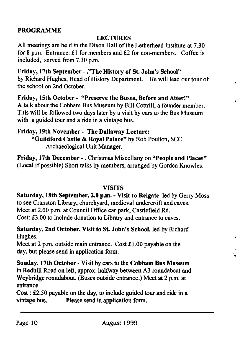#### PROGRAMME

#### LECTURES

All meetings are held in the Dixon Hall of the Letherhead Institute at 7.30 for 8 p.m. Entrance: £1 for members and £2 for non-members. Coffee is included, served from 7.30 p.m.

Friday, 17th September - ."The History of St. John's School" by Richard Hughes, Head of History Department. He will lead our tour of the school on 2nd October.

Friday, 15th October - "Preserve the Buses, Before and After!" A talk about the Cobham Bus Museum by Bill Cottrill, a founder member. This will be followed two days later by a visit by cars to the Bus Museum with a guided tour and a ride in a vintage bus.

Friday, 19th November - The Dallaway Lecture: "Guildford Castle & Royal Palace" by Rob Poulton, SCC Archaeological Unit Manager.

Friday, 17th December -. Christmas Miscellany on "People and Places" (Local if possible) Short talks by members, arranged by Gordon Knowles.

#### VISITS

Saturday, 18th September, 2.0 p.m. - Visit to Reigate led by Gerry Moss to see Cranston Library, churchyard, medieval undercroft and caves. Meet at 2.00 p.m. at Council Office car park, Castlefield Rd. Cost: £3.00 to include donation to Library and entrance to caves.

 $\bullet$ 

Saturday, 2nd October. Visit to St. John's School, led by Richard Hughes.

Meet at 2 p.m. outside main entrance. Cost £1.00 payable on the day, but please send in application form.

Sunday. 17th October • Visit by cars to the Cobham Bus Museum in Redhill Road on left, approx. halfway between A3 roundabout and Weybridge roundabout. (Buses outside entrance.) Meet at 2 p.m. at entrance.

 $Cost: \pounds2.50$  payable on the day, to include guided tour and ride in a vintage bus. Please send in application form. Please send in application form.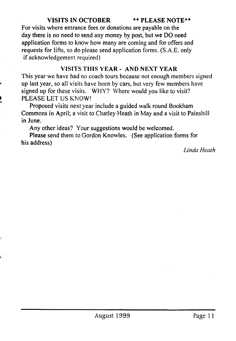#### VISITS IN OCTOBER \*\* PLEASE NOTE\*\*

**For visits where entrance fees or donations are payable on the day there is no need to send any money by post, but we DO need application forms to know how many are coming and for offers and requests for lifts, so do please send application forms. (S.A.E. only if acknowledgement required)**

#### **VISITS THIS YEAR- AND NEXT YEAR**

**This year we have had no coach tours because not enough members signed up last year, so all visits have been by cars, but very few members have signed up for these visits. WHY? Where would you like to visit? PLEASE LET US KNOW!**

**Proposed visits next year include a guided walk round Bookham Commons in April; a visit to Chatley Heath in May and a visit to Painshill in June.**

**Any other ideas? Your suggestions would be welcomed.**

**Please send them to Gordon Knowles. (See application forms for his address)**

*Linda Heath*